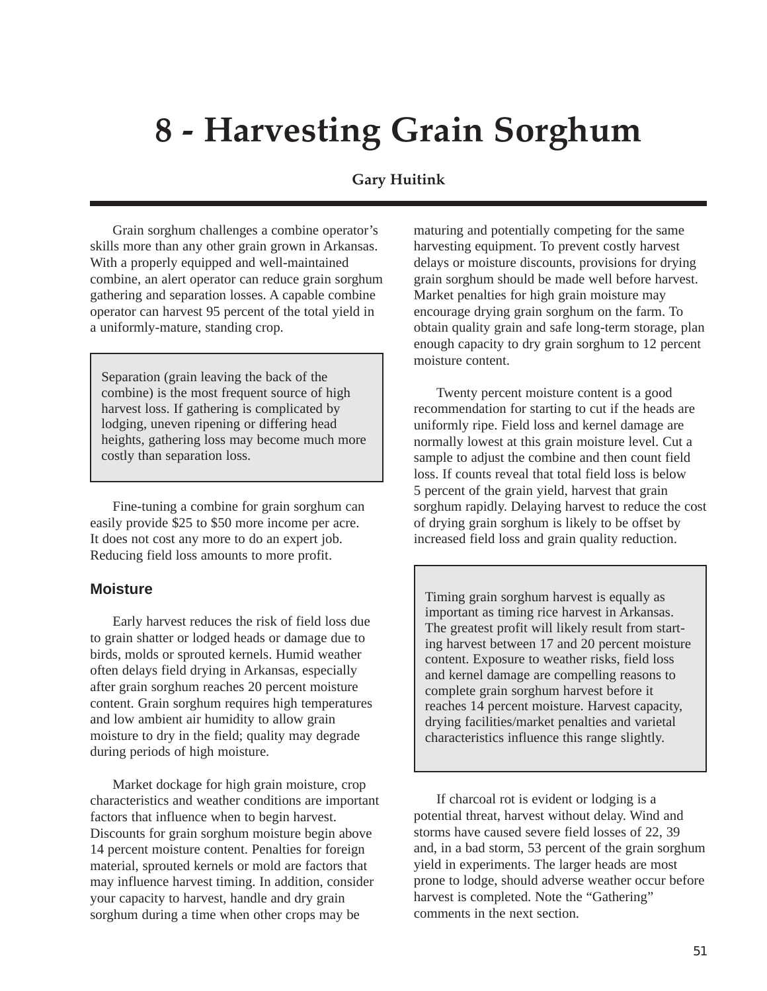# **8 - Harvesting Grain Sorghum**

# **Gary Huitink**

Grain sorghum challenges a combine operator's skills more than any other grain grown in Arkansas. With a properly equipped and well-maintained combine, an alert operator can reduce grain sorghum gathering and separation losses. A capable combine operator can harvest 95 percent of the total yield in a uniformly-mature, standing crop.

Separation (grain leaving the back of the combine) is the most frequent source of high harvest loss. If gathering is complicated by heights, gathering loss may become much more costly than separation loss. lodging, uneven ripening or differing head

Fine-tuning a combine for grain sorghum can easily provide \$25 to \$50 more income per acre. It does not cost any more to do an expert job. Reducing field loss amounts to more profit.

#### **Moisture**

Early harvest reduces the risk of field loss due to grain shatter or lodged heads or damage due to birds, molds or sprouted kernels. Humid weather often delays field drying in Arkansas, especially after grain sorghum reaches 20 percent moisture content. Grain sorghum requires high temperatures and low ambient air humidity to allow grain moisture to dry in the field; quality may degrade during periods of high moisture.

Market dockage for high grain moisture, crop characteristics and weather conditions are important factors that influence when to begin harvest. Discounts for grain sorghum moisture begin above 14 percent moisture content. Penalties for foreign material, sprouted kernels or mold are factors that may influence harvest timing. In addition, consider your capacity to harvest, handle and dry grain sorghum during a time when other crops may be

maturing and potentially competing for the same harvesting equipment. To prevent costly harvest delays or moisture discounts, provisions for drying grain sorghum should be made well before harvest. Market penalties for high grain moisture may encourage drying grain sorghum on the farm. To obtain quality grain and safe long-term storage, plan enough capacity to dry grain sorghum to 12 percent moisture content.

Twenty percent moisture content is a good recommendation for starting to cut if the heads are uniformly ripe. Field loss and kernel damage are normally lowest at this grain moisture level. Cut a sample to adjust the combine and then count field loss. If counts reveal that total field loss is below 5 percent of the grain yield, harvest that grain sorghum rapidly. Delaying harvest to reduce the cost of drying grain sorghum is likely to be offset by increased field loss and grain quality reduction.

The greatest profit will likely result from starting harvest between 17 and 20 percent moisture content. Exposure to weather risks, field loss and kernel damage are compelling reasons to drying facilities/market penalties and varietal Timing grain sorghum harvest is equally as important as timing rice harvest in Arkansas. complete grain sorghum harvest before it reaches 14 percent moisture. Harvest capacity, characteristics influence this range slightly.

If charcoal rot is evident or lodging is a potential threat, harvest without delay. Wind and storms have caused severe field losses of 22, 39 and, in a bad storm, 53 percent of the grain sorghum yield in experiments. The larger heads are most prone to lodge, should adverse weather occur before harvest is completed. Note the "Gathering" comments in the next section.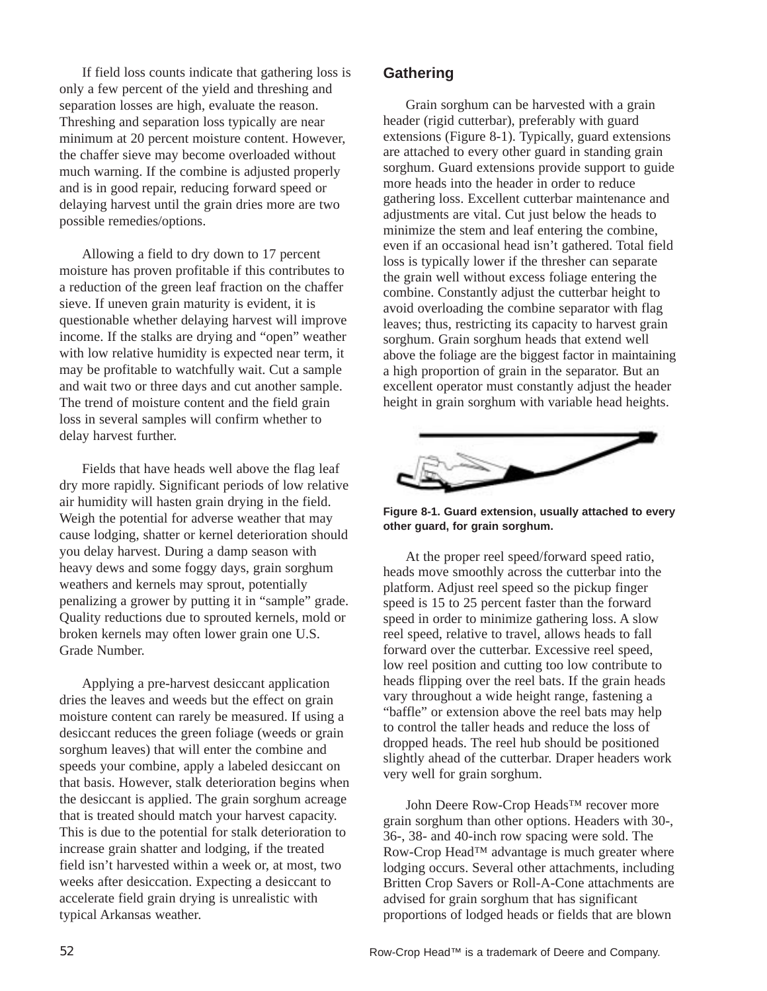If field loss counts indicate that gathering loss is only a few percent of the yield and threshing and separation losses are high, evaluate the reason. Threshing and separation loss typically are near minimum at 20 percent moisture content. However, the chaffer sieve may become overloaded without much warning. If the combine is adjusted properly and is in good repair, reducing forward speed or delaying harvest until the grain dries more are two possible remedies/options.

Allowing a field to dry down to 17 percent moisture has proven profitable if this contributes to a reduction of the green leaf fraction on the chaffer sieve. If uneven grain maturity is evident, it is questionable whether delaying harvest will improve income. If the stalks are drying and "open" weather with low relative humidity is expected near term, it may be profitable to watchfully wait. Cut a sample and wait two or three days and cut another sample. The trend of moisture content and the field grain loss in several samples will confirm whether to delay harvest further.

Fields that have heads well above the flag leaf dry more rapidly. Significant periods of low relative air humidity will hasten grain drying in the field. Weigh the potential for adverse weather that may cause lodging, shatter or kernel deterioration should you delay harvest. During a damp season with heavy dews and some foggy days, grain sorghum weathers and kernels may sprout, potentially penalizing a grower by putting it in "sample" grade. Quality reductions due to sprouted kernels, mold or broken kernels may often lower grain one U.S. Grade Number.

Applying a pre-harvest desiccant application dries the leaves and weeds but the effect on grain moisture content can rarely be measured. If using a desiccant reduces the green foliage (weeds or grain sorghum leaves) that will enter the combine and speeds your combine, apply a labeled desiccant on that basis. However, stalk deterioration begins when the desiccant is applied. The grain sorghum acreage that is treated should match your harvest capacity. This is due to the potential for stalk deterioration to increase grain shatter and lodging, if the treated field isn't harvested within a week or, at most, two weeks after desiccation. Expecting a desiccant to accelerate field grain drying is unrealistic with typical Arkansas weather.

#### **Gathering**

Grain sorghum can be harvested with a grain header (rigid cutterbar), preferably with guard extensions (Figure 8-1). Typically, guard extensions are attached to every other guard in standing grain sorghum. Guard extensions provide support to guide more heads into the header in order to reduce gathering loss. Excellent cutterbar maintenance and adjustments are vital. Cut just below the heads to minimize the stem and leaf entering the combine, even if an occasional head isn't gathered. Total field loss is typically lower if the thresher can separate the grain well without excess foliage entering the combine. Constantly adjust the cutterbar height to avoid overloading the combine separator with flag leaves; thus, restricting its capacity to harvest grain sorghum. Grain sorghum heads that extend well above the foliage are the biggest factor in maintaining a high proportion of grain in the separator. But an excellent operator must constantly adjust the header height in grain sorghum with variable head heights.



**Figure 8-1. Guard extension, usually attached to every other guard, for grain sorghum.** 

At the proper reel speed/forward speed ratio, heads move smoothly across the cutterbar into the platform. Adjust reel speed so the pickup finger speed is 15 to 25 percent faster than the forward speed in order to minimize gathering loss. A slow reel speed, relative to travel, allows heads to fall forward over the cutterbar. Excessive reel speed, low reel position and cutting too low contribute to heads flipping over the reel bats. If the grain heads vary throughout a wide height range, fastening a "baffle" or extension above the reel bats may help to control the taller heads and reduce the loss of dropped heads. The reel hub should be positioned slightly ahead of the cutterbar. Draper headers work very well for grain sorghum.

John Deere Row-Crop Heads™ recover more grain sorghum than other options. Headers with 30-, 36-, 38- and 40-inch row spacing were sold. The Row-Crop Head™ advantage is much greater where lodging occurs. Several other attachments, including Britten Crop Savers or Roll-A-Cone attachments are advised for grain sorghum that has significant proportions of lodged heads or fields that are blown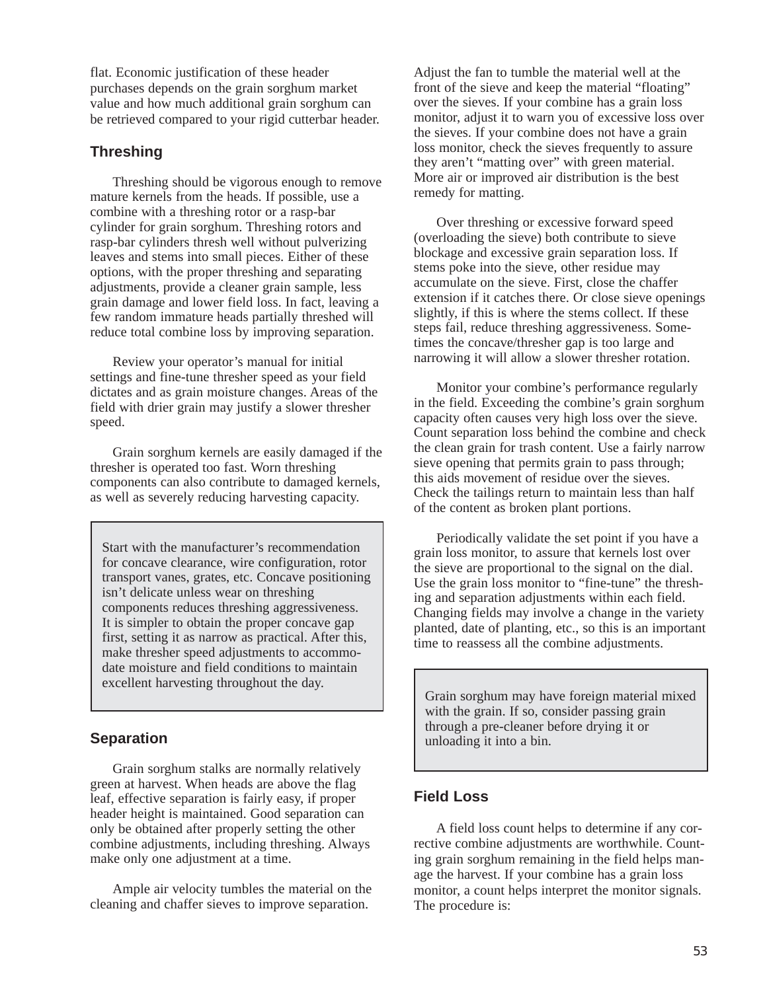flat. Economic justification of these header purchases depends on the grain sorghum market value and how much additional grain sorghum can be retrieved compared to your rigid cutterbar header.

### **Threshing**

Threshing should be vigorous enough to remove mature kernels from the heads. If possible, use a combine with a threshing rotor or a rasp-bar cylinder for grain sorghum. Threshing rotors and rasp-bar cylinders thresh well without pulverizing leaves and stems into small pieces. Either of these options, with the proper threshing and separating adjustments, provide a cleaner grain sample, less grain damage and lower field loss. In fact, leaving a few random immature heads partially threshed will reduce total combine loss by improving separation.

Review your operator's manual for initial settings and fine-tune thresher speed as your field dictates and as grain moisture changes. Areas of the field with drier grain may justify a slower thresher speed.

Grain sorghum kernels are easily damaged if the thresher is operated too fast. Worn threshing components can also contribute to damaged kernels, as well as severely reducing harvesting capacity.

for concave clearance, wire configuration, rotor transport vanes, grates, etc. Concave positioning components reduces threshing aggressiveness. make thresher speed adjustments to accommodate moisture and field conditions to maintain Start with the manufacturer's recommendation isn't delicate unless wear on threshing It is simpler to obtain the proper concave gap first, setting it as narrow as practical. After this, excellent harvesting throughout the day.

## **Separation**

Grain sorghum stalks are normally relatively green at harvest. When heads are above the flag leaf, effective separation is fairly easy, if proper header height is maintained. Good separation can only be obtained after properly setting the other combine adjustments, including threshing. Always make only one adjustment at a time.

Ample air velocity tumbles the material on the cleaning and chaffer sieves to improve separation.

Adjust the fan to tumble the material well at the front of the sieve and keep the material "floating" over the sieves. If your combine has a grain loss monitor, adjust it to warn you of excessive loss over the sieves. If your combine does not have a grain loss monitor, check the sieves frequently to assure they aren't "matting over" with green material. More air or improved air distribution is the best remedy for matting.

Over threshing or excessive forward speed (overloading the sieve) both contribute to sieve blockage and excessive grain separation loss. If stems poke into the sieve, other residue may accumulate on the sieve. First, close the chaffer extension if it catches there. Or close sieve openings slightly, if this is where the stems collect. If these steps fail, reduce threshing aggressiveness. Sometimes the concave/thresher gap is too large and narrowing it will allow a slower thresher rotation.

Monitor your combine's performance regularly in the field. Exceeding the combine's grain sorghum capacity often causes very high loss over the sieve. Count separation loss behind the combine and check the clean grain for trash content. Use a fairly narrow sieve opening that permits grain to pass through; this aids movement of residue over the sieves. Check the tailings return to maintain less than half of the content as broken plant portions.

Periodically validate the set point if you have a grain loss monitor, to assure that kernels lost over the sieve are proportional to the signal on the dial. Use the grain loss monitor to "fine-tune" the threshing and separation adjustments within each field. Changing fields may involve a change in the variety planted, date of planting, etc., so this is an important time to reassess all the combine adjustments.

with the grain. If so, consider passing grain through a pre-cleaner before drying it or unloading it into a bin. Grain sorghum may have foreign material mixed

## **Field Loss**

A field loss count helps to determine if any corrective combine adjustments are worthwhile. Counting grain sorghum remaining in the field helps manage the harvest. If your combine has a grain loss monitor, a count helps interpret the monitor signals. The procedure is: